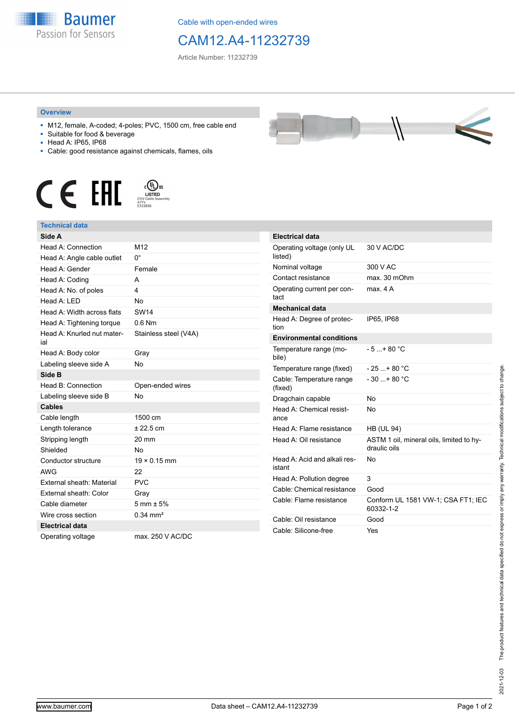

Cable with open-ended wires

## CAM12.A4-11232739

Article Number: 11232739

## **Overview**

- M12, female, A-coded; 4-poles; PVC, 1500 cm, free cable end
- Suitable for food & beverage
- Head A: IP65, IP68
- Cable: good resistance against chemicals, flames, oils





## **Technical data**

| Side A                            |                       |
|-----------------------------------|-----------------------|
| Head A: Connection                | M12                   |
| Head A: Angle cable outlet        | $0^{\circ}$           |
| Head A: Gender                    | Female                |
| Head A: Coding                    | A                     |
| Head A: No. of poles              | 4                     |
| Head A: I FD                      | No                    |
| Head A: Width across flats        | <b>SW14</b>           |
| Head A: Tightening torque         | $0.6$ Nm              |
| Head A: Knurled nut mater-<br>ial | Stainless steel (V4A) |
| Head A: Body color                | Gray                  |
| Labeling sleeve side A            | <b>No</b>             |
| Side B                            |                       |
| Head B: Connection                | Open-ended wires      |
| Labeling sleeve side B            | No                    |
| <b>Cables</b>                     |                       |
| Cable length                      | 1500 cm               |
| Length tolerance                  | ± 22.5 cm             |
| Stripping length                  | 20 mm                 |
| Shielded                          | No                    |
| Conductor structure               | $19 \times 0.15$ mm   |
| <b>AWG</b>                        | 22                    |
| External sheath: Material         | <b>PVC</b>            |
| External sheath: Color            | Gray                  |
| Cable diameter                    | $5 \text{ mm} + 5\%$  |
| Wire cross section                | $0.34 \text{ mm}^2$   |
| <b>Electrical data</b>            |                       |
| Operating voltage                 | max. 250 V AC/DC      |

| <b>Electrical data</b>                 |                                                          |
|----------------------------------------|----------------------------------------------------------|
| Operating voltage (only UL<br>listed)  | 30 V AC/DC                                               |
| Nominal voltage                        | 300 V AC                                                 |
| Contact resistance                     | max. 30 mOhm                                             |
| Operating current per con-<br>tact     | max 4 A                                                  |
| <b>Mechanical data</b>                 |                                                          |
| Head A: Degree of protec-<br>tion      | IP65. IP68                                               |
| <b>Environmental conditions</b>        |                                                          |
| Temperature range (mo-<br>bile)        | $-5 + 80 °C$                                             |
| Temperature range (fixed)              | - 25 + 80 °C                                             |
| Cable: Temperature range<br>(fixed)    | $-30 + 80 °C$                                            |
| Dragchain capable                      | No                                                       |
| Head A: Chemical resist-<br>ance       | No                                                       |
| Head A: Flame resistance               | <b>HB (UL 94)</b>                                        |
| Head A: Oil resistance                 | ASTM 1 oil, mineral oils, limited to hy-<br>draulic oils |
| Head A: Acid and alkali res-<br>istant | No                                                       |
| Head A: Pollution degree               | 3                                                        |
| Cable: Chemical resistance             | Good                                                     |
| Cable: Flame resistance                | Conform UL 1581 VW-1; CSA FT1; IEC<br>60332-1-2          |
| Cable: Oil resistance                  | Good                                                     |
| Cable: Silicone-free                   | Yes                                                      |